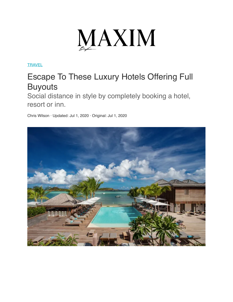

**[TRAVEL](https://www.maxim.com/travel)** 

## Escape To These Luxury Hotels Offering Full **Buyouts**

Social distance in style by completely booking a hotel, resort or inn.

Chris Wilson · Updated: Jul 1, 2020 · Original: Jul 1, 2020

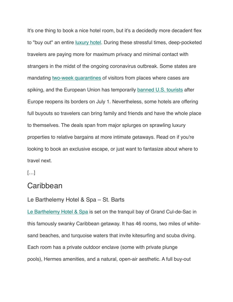It's one thing to book a nice hotel room, but it's a decidedly more decadent flex to "buy out" an entire [luxury hotel.](https://www.maxim.com/tag/luxury-hotels) During these stressful times, deep-pocketed travelers are paying more for maximum privacy and minimal contact with strangers in the midst of the ongoing coronavirus outbreak. Some states are mandating [two-week quarantines](https://www.maxim.com/tag/luxury-hotels) of visitors from places where cases are spiking, and the European Union has temporarily [banned U.S. tourists](https://www.usatoday.com/story/travel/news/2020/06/30/eu-banning-us-travelers-when-bloc-reopens-post-coronavirus-lockdown/3268154001/) after Europe reopens its borders on July 1. Nevertheless, some hotels are offering full buyouts so travelers can bring family and friends and have the whole place to themselves. The deals span from major splurges on sprawling luxury properties to relative bargains at more intimate getaways. Read on if you're looking to book an exclusive escape, or just want to fantasize about where to travel next.

 $[...]$ 

## **Caribbean**

## Le Barthelemy Hotel & Spa – St. Barts

[Le Barthelemy Hotel & Spa](https://www.lebarthelemyhotel.com/en) is set on the tranquil bay of Grand Cul-de-Sac in this famously swanky Caribbean getaway. It has 46 rooms, two miles of whitesand beaches, and turquoise waters that invite kitesurfing and scuba diving. Each room has a private outdoor enclave (some with private plunge pools), Hermes amenities, and a natural, open-air aesthetic. A full buy-out